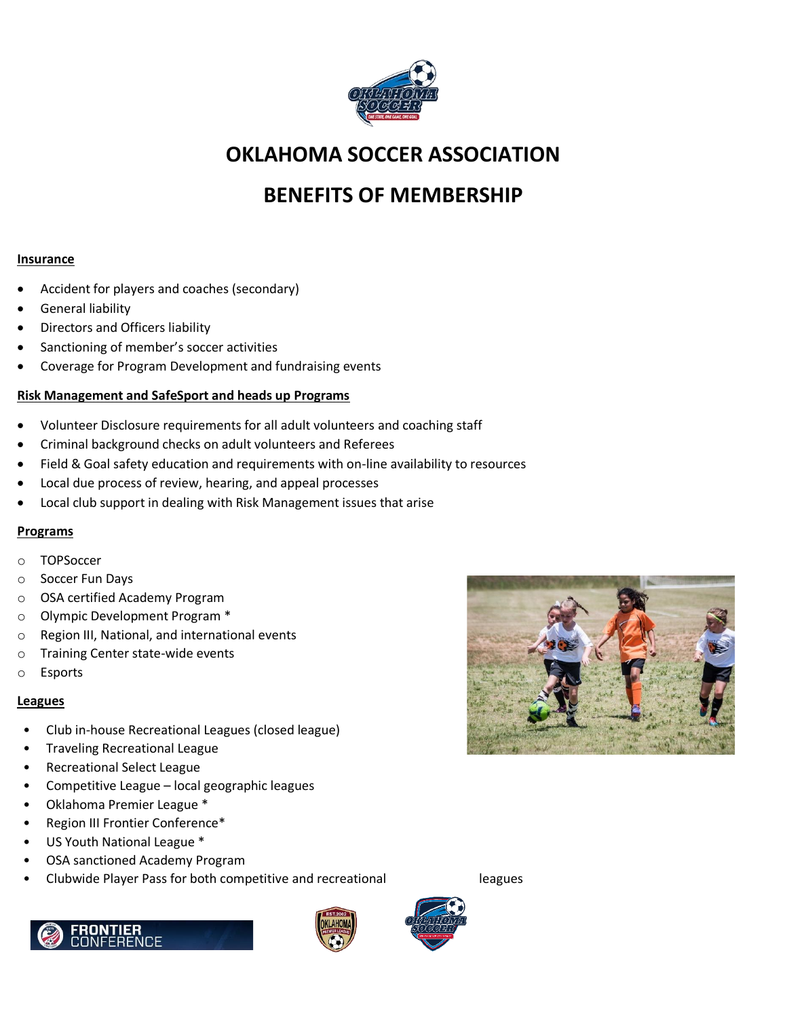

## **OKLAHOMA SOCCER ASSOCIATION**

# **BENEFITS OF MEMBERSHIP**

### **Insurance**

- Accident for players and coaches (secondary)
- General liability
- Directors and Officers liability
- Sanctioning of member's soccer activities
- Coverage for Program Development and fundraising events

## **Risk Management and SafeSport and heads up Programs**

- Volunteer Disclosure requirements for all adult volunteers and coaching staff
- Criminal background checks on adult volunteers and Referees
- Field & Goal safety education and requirements with on-line availability to resources
- Local due process of review, hearing, and appeal processes
- Local club support in dealing with Risk Management issues that arise

### **Programs**

- o TOPSoccer
- o Soccer Fun Days
- o OSA certified Academy Program
- o Olympic Development Program \*
- o Region III, National, and international events
- o Training Center state-wide events
- o Esports

### **Leagues**

- Club in-house Recreational Leagues (closed league)
- Traveling Recreational League
- Recreational Select League
- Competitive League local geographic leagues
- Oklahoma Premier League \*
- Region III Frontier Conference\*
- US Youth National League \*
- OSA sanctioned Academy Program
- Clubwide Player Pass for both competitive and recreational leagues







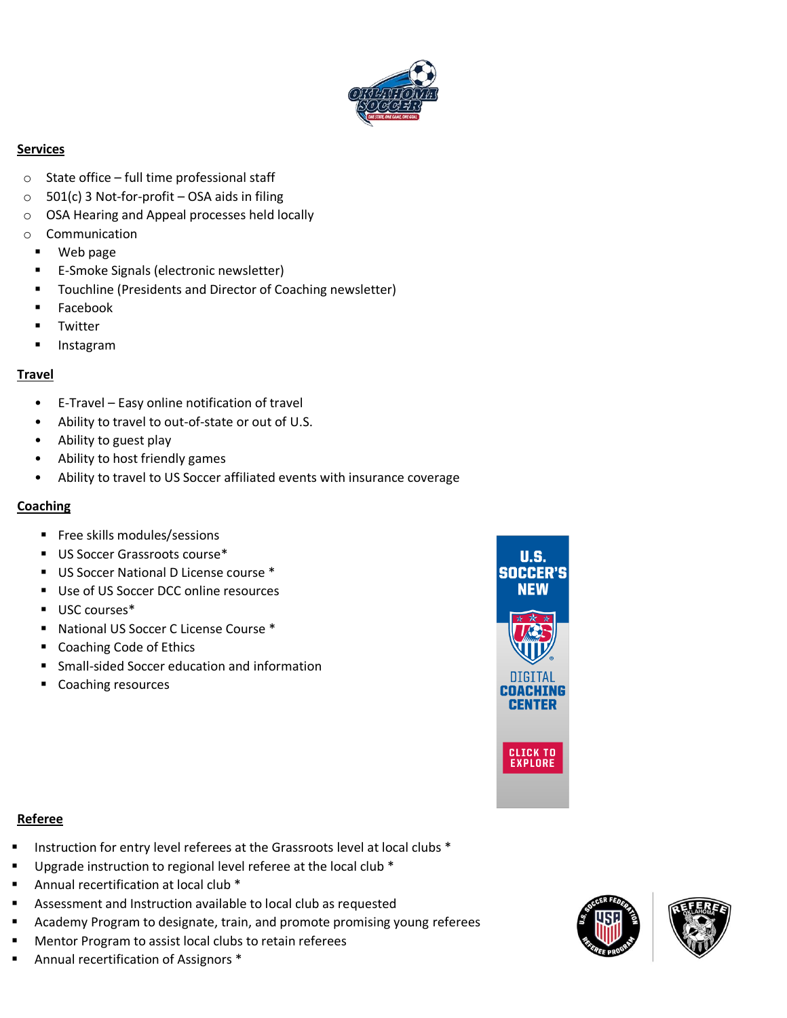

## **Services**

- $\circ$  State office full time professional staff
- $\circ$  501(c) 3 Not-for-profit OSA aids in filing
- o OSA Hearing and Appeal processes held locally
- o Communication
	- Web page
	- E-Smoke Signals (electronic newsletter)
	- Touchline (Presidents and Director of Coaching newsletter)
	- Facebook
	- Twitter
	- Instagram

## **Travel**

- E-Travel Easy online notification of travel
- Ability to travel to out-of-state or out of U.S.
- Ability to guest play
- Ability to host friendly games
- Ability to travel to US Soccer affiliated events with insurance coverage

## **Coaching**

- Free skills modules/sessions
- US Soccer Grassroots course\*
- US Soccer National D License course \*
- Use of US Soccer DCC online resources
- USC courses<sup>\*</sup>
- National US Soccer C License Course \*
- Coaching Code of Ethics
- Small-sided Soccer education and information
- Coaching resources



### **Referee**

- Instruction for entry level referees at the Grassroots level at local clubs \*
- Upgrade instruction to regional level referee at the local club \*
- Annual recertification at local club \*
- Assessment and Instruction available to local club as requested
- Academy Program to designate, train, and promote promising young referees
- Mentor Program to assist local clubs to retain referees
- Annual recertification of Assignors \*



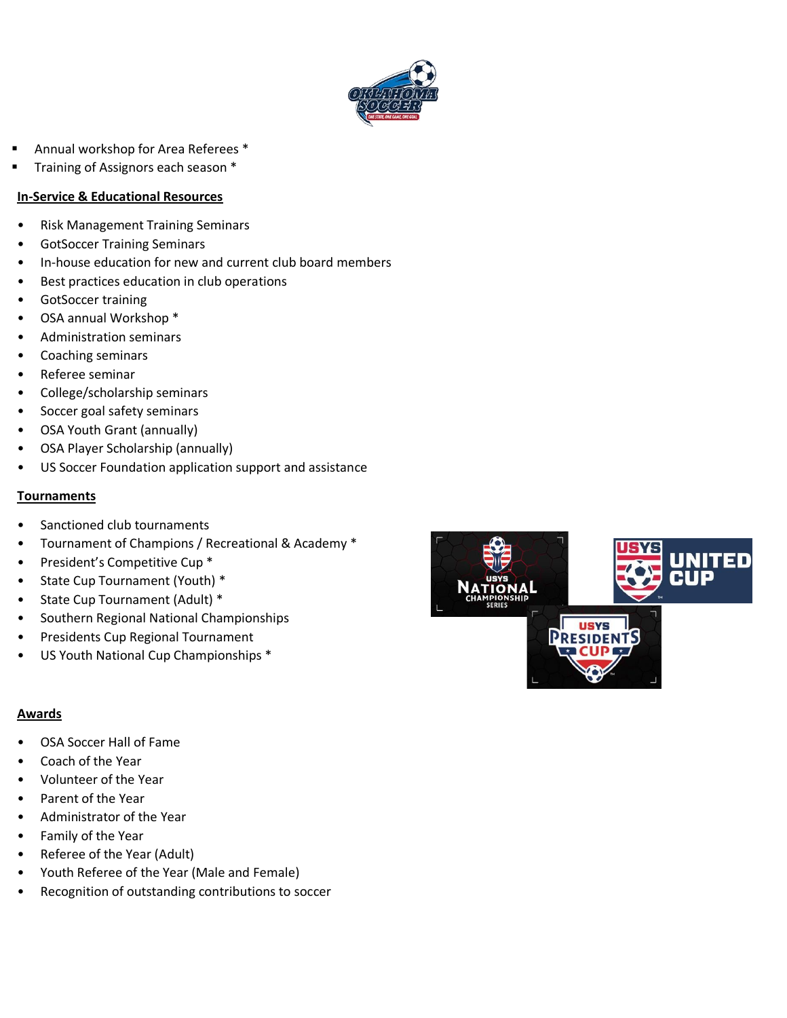

- Annual workshop for Area Referees \*
- Training of Assignors each season \*

## **In-Service & Educational Resources**

- Risk Management Training Seminars
- GotSoccer Training Seminars
- In-house education for new and current club board members
- Best practices education in club operations
- GotSoccer training
- OSA annual Workshop \*
- Administration seminars
- Coaching seminars
- Referee seminar
- College/scholarship seminars
- Soccer goal safety seminars
- OSA Youth Grant (annually)
- OSA Player Scholarship (annually)
- US Soccer Foundation application support and assistance

### **Tournaments**

- Sanctioned club tournaments
- Tournament of Champions / Recreational & Academy \*
- President's Competitive Cup \*
- State Cup Tournament (Youth) \*
- State Cup Tournament (Adult) \*
- Southern Regional National Championships
- Presidents Cup Regional Tournament
- US Youth National Cup Championships \*

## **Awards**

- OSA Soccer Hall of Fame
- Coach of the Year
- Volunteer of the Year
- Parent of the Year
- Administrator of the Year
- Family of the Year
- Referee of the Year (Adult)
- Youth Referee of the Year (Male and Female)
- Recognition of outstanding contributions to soccer